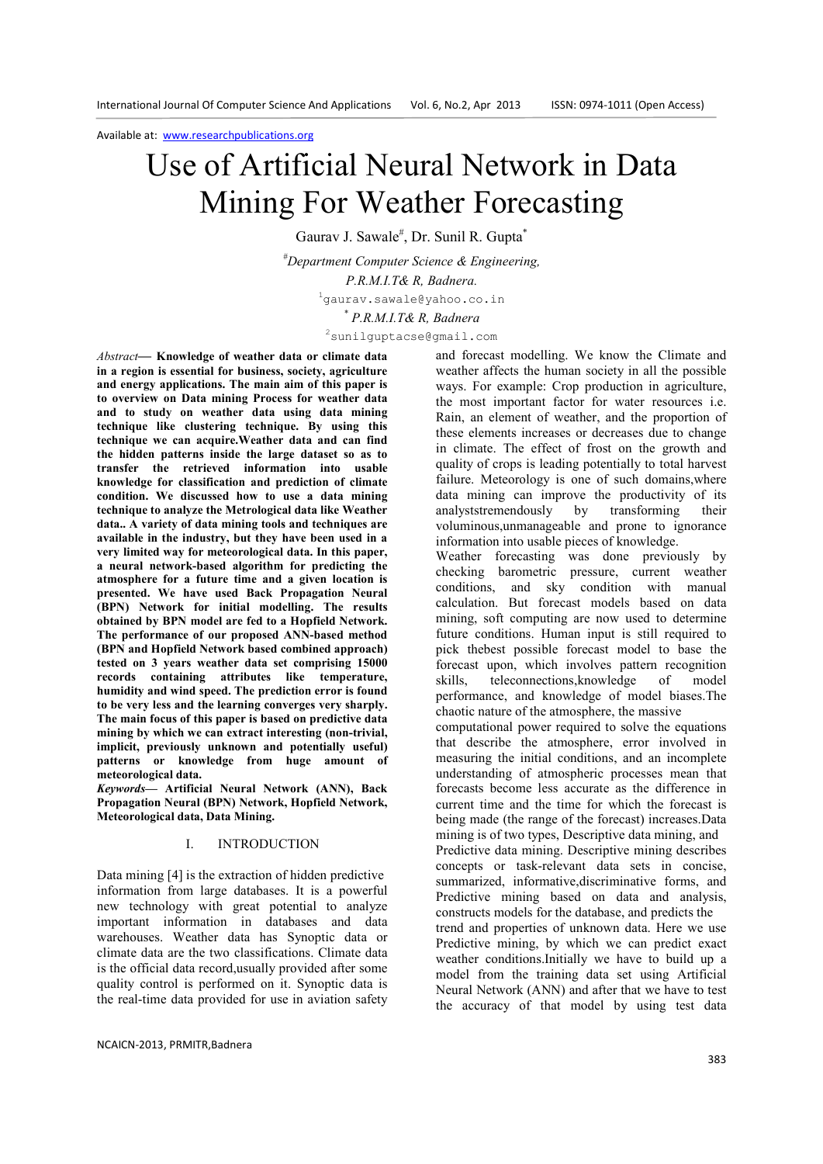# Use of Artificial Neural Network in Data Mining For Weather Forecasting

Gaurav J. Sawale<sup>#</sup>, Dr. Sunil R. Gupta<sup>\*</sup>

*#Department Computer Science & Engineering, P.R.M.I.T& R, Badnera.*  <sup>1</sup>gaurav.sawale@yahoo.co.in

*\* P.R.M.I.T& R, Badnera* 

<sup>2</sup>sunilguptacse@gmail.com

*Abstract***— Knowledge of weather data or climate data in a region is essential for business, society, agriculture and energy applications. The main aim of this paper is to overview on Data mining Process for weather data and to study on weather data using data mining technique like clustering technique. By using this technique we can acquire.Weather data and can find the hidden patterns inside the large dataset so as to transfer the retrieved information into usable knowledge for classification and prediction of climate condition. We discussed how to use a data mining technique to analyze the Metrological data like Weather data.. A variety of data mining tools and techniques are available in the industry, but they have been used in a very limited way for meteorological data. In this paper, a neural network-based algorithm for predicting the atmosphere for a future time and a given location is presented. We have used Back Propagation Neural (BPN) Network for initial modelling. The results obtained by BPN model are fed to a Hopfield Network. The performance of our proposed ANN-based method (BPN and Hopfield Network based combined approach) tested on 3 years weather data set comprising 15000 records containing attributes like temperature, humidity and wind speed. The prediction error is found to be very less and the learning converges very sharply. The main focus of this paper is based on predictive data mining by which we can extract interesting (non-trivial, implicit, previously unknown and potentially useful) patterns or knowledge from huge amount of meteorological data.** 

*Keywords—* **Artificial Neural Network (ANN), Back Propagation Neural (BPN) Network, Hopfield Network, Meteorological data, Data Mining.** 

## I. INTRODUCTION

Data mining [4] is the extraction of hidden predictive information from large databases. It is a powerful new technology with great potential to analyze important information in databases and data warehouses. Weather data has Synoptic data or climate data are the two classifications. Climate data is the official data record,usually provided after some quality control is performed on it. Synoptic data is the real-time data provided for use in aviation safety

NCAICN-2013, PRMITR,Badnera

and forecast modelling. We know the Climate and weather affects the human society in all the possible ways. For example: Crop production in agriculture, the most important factor for water resources i.e. Rain, an element of weather, and the proportion of these elements increases or decreases due to change in climate. The effect of frost on the growth and quality of crops is leading potentially to total harvest failure. Meteorology is one of such domains,where data mining can improve the productivity of its analyststremendously by transforming their voluminous,unmanageable and prone to ignorance information into usable pieces of knowledge.

Weather forecasting was done previously by checking barometric pressure, current weather conditions, and sky condition with manual calculation. But forecast models based on data mining, soft computing are now used to determine future conditions. Human input is still required to pick thebest possible forecast model to base the forecast upon, which involves pattern recognition skills, teleconnections,knowledge of model performance, and knowledge of model biases.The chaotic nature of the atmosphere, the massive computational power required to solve the equations that describe the atmosphere, error involved in measuring the initial conditions, and an incomplete understanding of atmospheric processes mean that forecasts become less accurate as the difference in current time and the time for which the forecast is being made (the range of the forecast) increases.Data mining is of two types, Descriptive data mining, and Predictive data mining. Descriptive mining describes concepts or task-relevant data sets in concise, summarized, informative,discriminative forms, and Predictive mining based on data and analysis, constructs models for the database, and predicts the trend and properties of unknown data. Here we use Predictive mining, by which we can predict exact weather conditions.Initially we have to build up a model from the training data set using Artificial Neural Network (ANN) and after that we have to test

the accuracy of that model by using test data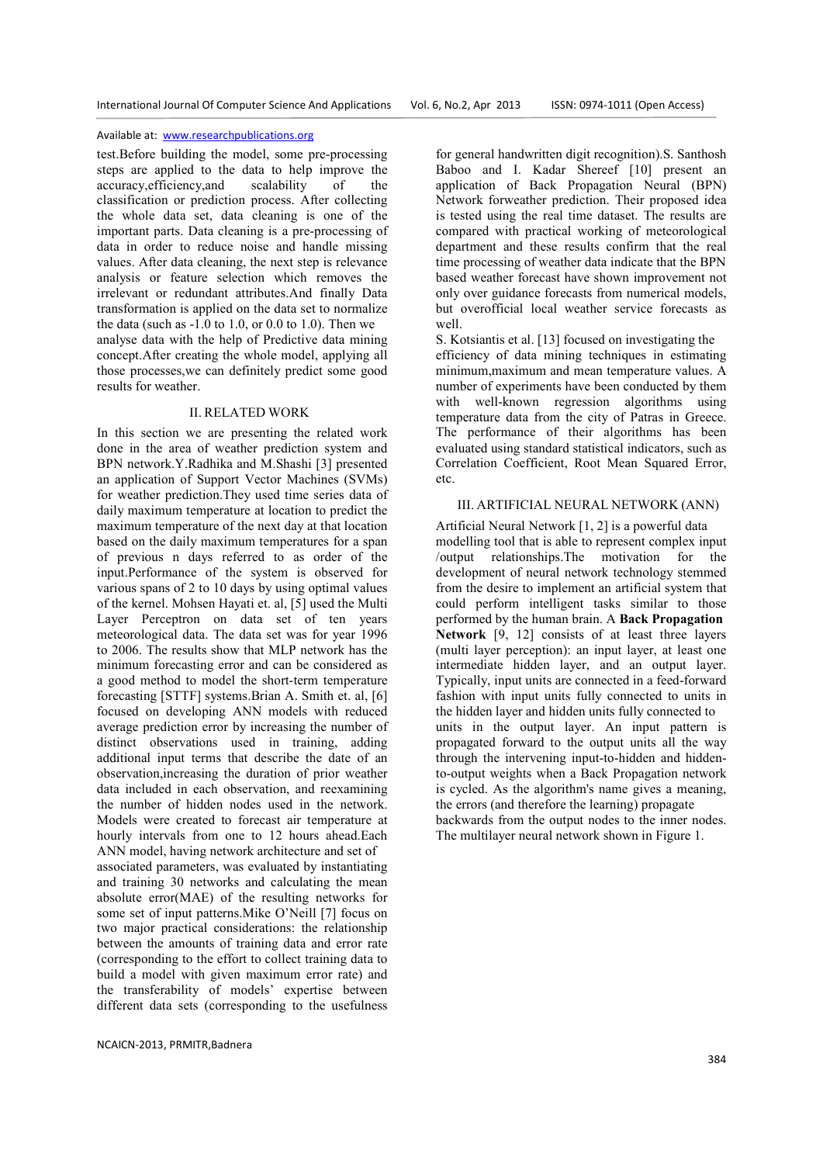test.Before building the model, some pre-processing steps are applied to the data to help improve the accuracy,efficiency,and scalability of the classification or prediction process. After collecting the whole data set, data cleaning is one of the important parts. Data cleaning is a pre-processing of data in order to reduce noise and handle missing values. After data cleaning, the next step is relevance analysis or feature selection which removes the irrelevant or redundant attributes.And finally Data transformation is applied on the data set to normalize the data (such as  $-1.0$  to 1.0, or 0.0 to 1.0). Then we analyse data with the help of Predictive data mining concept.After creating the whole model, applying all those processes,we can definitely predict some good results for weather.

## II. RELATED WORK

In this section we are presenting the related work done in the area of weather prediction system and BPN network.Y.Radhika and M.Shashi [3] presented an application of Support Vector Machines (SVMs) for weather prediction.They used time series data of daily maximum temperature at location to predict the maximum temperature of the next day at that location based on the daily maximum temperatures for a span of previous n days referred to as order of the input.Performance of the system is observed for various spans of 2 to 10 days by using optimal values of the kernel. Mohsen Hayati et. al, [5] used the Multi Layer Perceptron on data set of ten years meteorological data. The data set was for year 1996 to 2006. The results show that MLP network has the minimum forecasting error and can be considered as a good method to model the short-term temperature forecasting [STTF] systems.Brian A. Smith et. al, [6] focused on developing ANN models with reduced average prediction error by increasing the number of distinct observations used in training, adding additional input terms that describe the date of an observation,increasing the duration of prior weather data included in each observation, and reexamining the number of hidden nodes used in the network. Models were created to forecast air temperature at hourly intervals from one to 12 hours ahead.Each ANN model, having network architecture and set of associated parameters, was evaluated by instantiating and training 30 networks and calculating the mean absolute error(MAE) of the resulting networks for some set of input patterns.Mike O'Neill [7] focus on two major practical considerations: the relationship

between the amounts of training data and error rate (corresponding to the effort to collect training data to build a model with given maximum error rate) and the transferability of models' expertise between different data sets (corresponding to the usefulness

NCAICN-2013, PRMITR,Badnera

for general handwritten digit recognition).S. Santhosh Baboo and I. Kadar Shereef [10] present an application of Back Propagation Neural (BPN) Network forweather prediction. Their proposed idea is tested using the real time dataset. The results are compared with practical working of meteorological department and these results confirm that the real time processing of weather data indicate that the BPN based weather forecast have shown improvement not only over guidance forecasts from numerical models, but overofficial local weather service forecasts as well.

S. Kotsiantis et al. [13] focused on investigating the efficiency of data mining techniques in estimating minimum,maximum and mean temperature values. A number of experiments have been conducted by them with well-known regression algorithms using temperature data from the city of Patras in Greece. The performance of their algorithms has been evaluated using standard statistical indicators, such as Correlation Coefficient, Root Mean Squared Error, etc.

# III. ARTIFICIAL NEURAL NETWORK (ANN)

Artificial Neural Network [1, 2] is a powerful data modelling tool that is able to represent complex input /output relationships.The motivation for the development of neural network technology stemmed from the desire to implement an artificial system that could perform intelligent tasks similar to those performed by the human brain. A **Back Propagation Network** [9, 12] consists of at least three layers (multi layer perception): an input layer, at least one intermediate hidden layer, and an output layer. Typically, input units are connected in a feed-forward fashion with input units fully connected to units in the hidden layer and hidden units fully connected to units in the output layer. An input pattern is propagated forward to the output units all the way through the intervening input-to-hidden and hiddento-output weights when a Back Propagation network is cycled. As the algorithm's name gives a meaning, the errors (and therefore the learning) propagate backwards from the output nodes to the inner nodes. The multilayer neural network shown in Figure 1.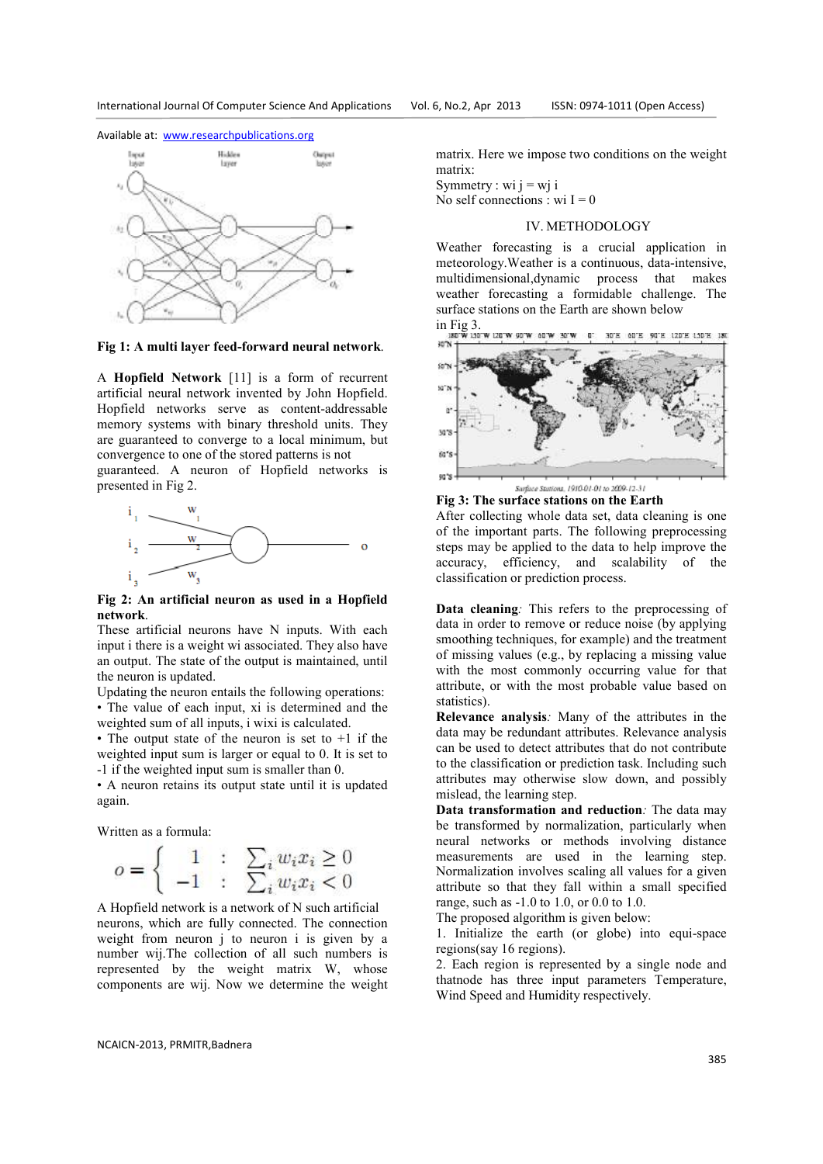

**Fig 1: A multi layer feed-forward neural network**.

A **Hopfield Network** [11] is a form of recurrent artificial neural network invented by John Hopfield. Hopfield networks serve as content-addressable memory systems with binary threshold units. They are guaranteed to converge to a local minimum, but convergence to one of the stored patterns is not

guaranteed. A neuron of Hopfield networks is presented in Fig 2.



**Fig 2: An artificial neuron as used in a Hopfield network**.

These artificial neurons have N inputs. With each input i there is a weight wi associated. They also have an output. The state of the output is maintained, until the neuron is updated.

Updating the neuron entails the following operations:

• The value of each input, xi is determined and the weighted sum of all inputs, i wixi is calculated.

• The output state of the neuron is set to  $+1$  if the weighted input sum is larger or equal to 0. It is set to -1 if the weighted input sum is smaller than 0.

• A neuron retains its output state until it is updated again.

Written as a formula:

$$
o = \left\{ \begin{array}{rcl} 1 & : & \sum_i w_i x_i \ge 0 \\ -1 & : & \sum_i w_i x_i < 0 \end{array} \right.
$$

A Hopfield network is a network of N such artificial neurons, which are fully connected. The connection weight from neuron j to neuron i is given by a number wij.The collection of all such numbers is represented by the weight matrix W, whose components are wij. Now we determine the weight matrix. Here we impose two conditions on the weight matrix:

Symmetry : wi  $j = wj$  i No self connections : wi  $I = 0$ 

## IV. METHODOLOGY

Weather forecasting is a crucial application in meteorology.Weather is a continuous, data-intensive, multidimensional,dynamic process that makes weather forecasting a formidable challenge. The surface stations on the Earth are shown below



**Fig 3: The surface stations on the Earth** 

After collecting whole data set, data cleaning is one of the important parts. The following preprocessing steps may be applied to the data to help improve the accuracy, efficiency, and scalability of the classification or prediction process.

**Data cleaning***:* This refers to the preprocessing of data in order to remove or reduce noise (by applying smoothing techniques, for example) and the treatment of missing values (e.g., by replacing a missing value with the most commonly occurring value for that attribute, or with the most probable value based on statistics).

**Relevance analysis***:* Many of the attributes in the data may be redundant attributes. Relevance analysis can be used to detect attributes that do not contribute to the classification or prediction task. Including such attributes may otherwise slow down, and possibly mislead, the learning step.

**Data transformation and reduction***:* The data may be transformed by normalization, particularly when neural networks or methods involving distance measurements are used in the learning step. Normalization involves scaling all values for a given attribute so that they fall within a small specified range, such as -1.0 to 1.0, or 0.0 to 1.0.

The proposed algorithm is given below:

1. Initialize the earth (or globe) into equi-space regions(say 16 regions).

2. Each region is represented by a single node and thatnode has three input parameters Temperature, Wind Speed and Humidity respectively.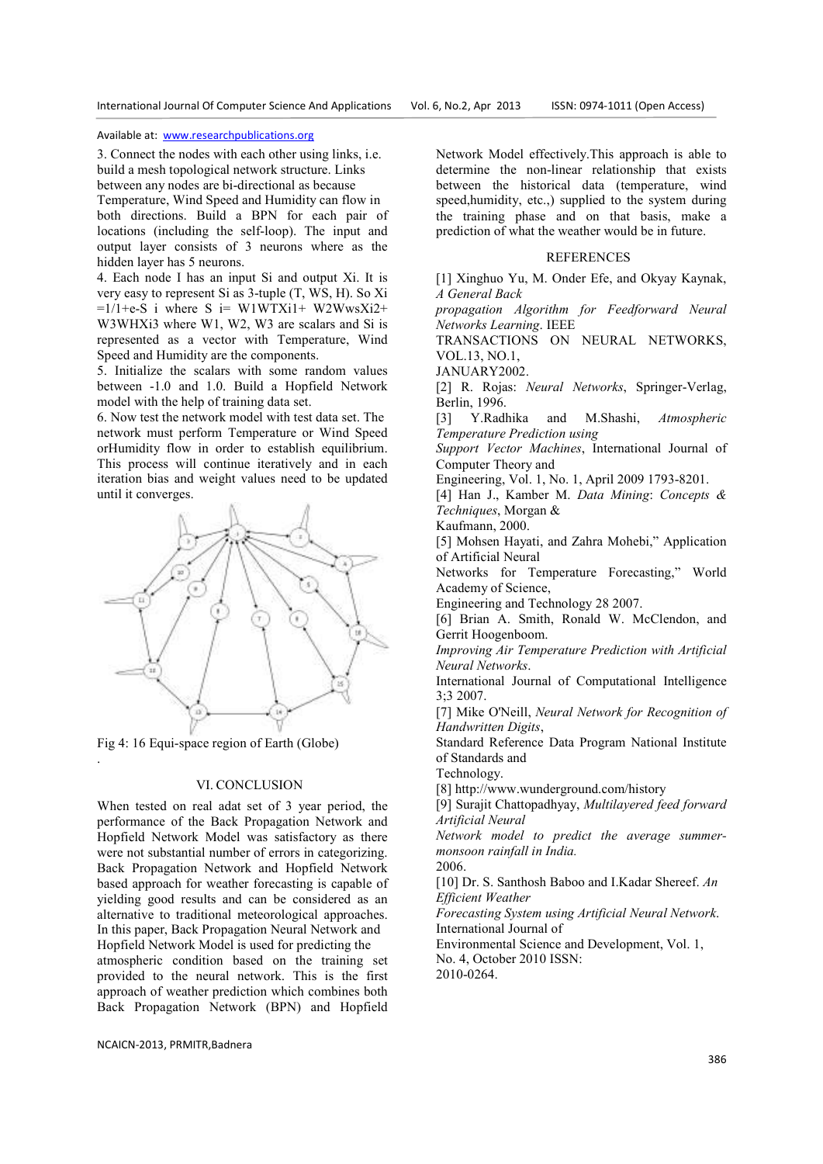3. Connect the nodes with each other using links, i.e. build a mesh topological network structure. Links between any nodes are bi-directional as because

Temperature, Wind Speed and Humidity can flow in both directions. Build a BPN for each pair of locations (including the self-loop). The input and output layer consists of 3 neurons where as the hidden layer has 5 neurons.

4. Each node I has an input Si and output Xi. It is very easy to represent Si as 3-tuple (T, WS, H). So Xi  $=1/1+e-S$  i where S i= W1WTXi1+ W2WwsXi2+ W3WHXi3 where W1, W2, W3 are scalars and Si is represented as a vector with Temperature, Wind Speed and Humidity are the components.

5. Initialize the scalars with some random values between -1.0 and 1.0. Build a Hopfield Network model with the help of training data set.

6. Now test the network model with test data set. The network must perform Temperature or Wind Speed orHumidity flow in order to establish equilibrium. This process will continue iteratively and in each iteration bias and weight values need to be updated until it converges.



Fig 4: 16 Equi-space region of Earth (Globe)

.

# VI. CONCLUSION

When tested on real adat set of 3 year period, the performance of the Back Propagation Network and Hopfield Network Model was satisfactory as there were not substantial number of errors in categorizing. Back Propagation Network and Hopfield Network based approach for weather forecasting is capable of yielding good results and can be considered as an alternative to traditional meteorological approaches. In this paper, Back Propagation Neural Network and

Hopfield Network Model is used for predicting the atmospheric condition based on the training set provided to the neural network. This is the first approach of weather prediction which combines both Back Propagation Network (BPN) and Hopfield

Network Model effectively.This approach is able to determine the non-linear relationship that exists between the historical data (temperature, wind speed,humidity, etc.,) supplied to the system during the training phase and on that basis, make a prediction of what the weather would be in future.

## **REFERENCES**

[1] Xinghuo Yu, M. Onder Efe, and Okyay Kaynak, *A General Back* 

*propagation Algorithm for Feedforward Neural Networks Learning*. IEEE

TRANSACTIONS ON NEURAL NETWORKS, VOL.13, NO.1,

JANUARY2002.

[2] R. Rojas: *Neural Networks*, Springer-Verlag, Berlin, 1996.

[3] Y.Radhika and M.Shashi, *Atmospheric Temperature Prediction using* 

*Support Vector Machines*, International Journal of Computer Theory and

Engineering, Vol. 1, No. 1, April 2009 1793-8201.

[4] Han J., Kamber M. *Data Mining*: *Concepts & Techniques*, Morgan &

Kaufmann, 2000.

[5] Mohsen Hayati, and Zahra Mohebi," Application of Artificial Neural

Networks for Temperature Forecasting," World Academy of Science,

Engineering and Technology 28 2007.

[6] Brian A. Smith, Ronald W. McClendon, and Gerrit Hoogenboom.

*Improving Air Temperature Prediction with Artificial Neural Networks*.

International Journal of Computational Intelligence 3;3 2007.

[7] Mike O'Neill, *Neural Network for Recognition of Handwritten Digits*,

Standard Reference Data Program National Institute of Standards and

Technology.

[8] http://www.wunderground.com/history

[9] Surajit Chattopadhyay, *Multilayered feed forward Artificial Neural* 

*Network model to predict the average summermonsoon rainfall in India.* 

2006.

[10] Dr. S. Santhosh Baboo and I.Kadar Shereef. *An Efficient Weather* 

*Forecasting System using Artificial Neural Network*. International Journal of

Environmental Science and Development, Vol. 1, No. 4, October 2010 ISSN:

2010-0264.